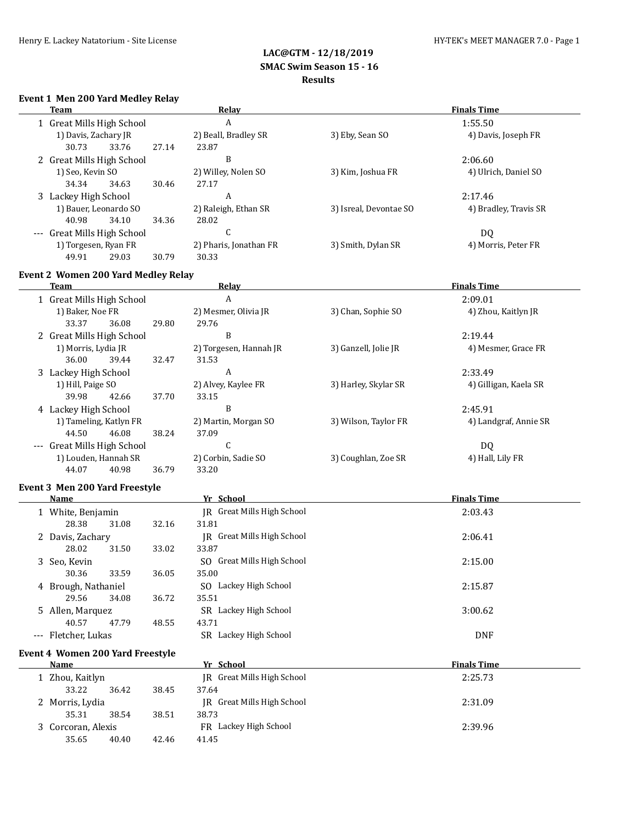#### **Event 1 Men 200 Yard Medley Relay**

| Team |                             |       |       | Relay                  | <b>Finals Time</b>     |                       |  |
|------|-----------------------------|-------|-------|------------------------|------------------------|-----------------------|--|
|      | 1 Great Mills High School   |       |       | A                      |                        | 1:55.50               |  |
|      | 1) Davis, Zachary JR        |       |       | 2) Beall, Bradley SR   | 3) Eby, Sean SO        | 4) Davis, Joseph FR   |  |
|      | 30.73                       | 33.76 | 27.14 | 23.87                  |                        |                       |  |
|      | 2 Great Mills High School   |       |       | B                      |                        | 2:06.60               |  |
|      | 1) Seo, Kevin SO            |       |       | 2) Willey, Nolen SO    | 3) Kim, Joshua FR      | 4) Ulrich, Daniel SO  |  |
|      | 34.34                       | 34.63 | 30.46 | 27.17                  |                        |                       |  |
|      | 3 Lackey High School        |       |       | A                      |                        | 2:17.46               |  |
|      | 1) Bauer, Leonardo SO       |       |       | 2) Raleigh, Ethan SR   | 3) Isreal, Devontae SO | 4) Bradley, Travis SR |  |
|      | 40.98                       | 34.10 | 34.36 | 28.02                  |                        |                       |  |
|      | --- Great Mills High School |       |       | C                      |                        | DQ                    |  |
|      | 1) Torgesen, Ryan FR        |       |       | 2) Pharis, Jonathan FR | 3) Smith, Dylan SR     | 4) Morris, Peter FR   |  |
|      | 49.91                       | 29.03 | 30.79 | 30.33                  |                        |                       |  |
|      |                             |       |       |                        |                        |                       |  |

### **Event 2 Women 200 Yard Medley Relay**

| <b>Team</b>               |       |                | Relay                  |                      | <b>Finals Time</b>    |
|---------------------------|-------|----------------|------------------------|----------------------|-----------------------|
| 1 Great Mills High School |       |                | A                      |                      | 2:09.01               |
| 1) Baker, Noe FR          |       |                | 2) Mesmer, Olivia JR   | 3) Chan, Sophie SO   | 4) Zhou, Kaitlyn JR   |
| 33.37                     | 36.08 | 29.80<br>29.76 |                        |                      |                       |
| 2 Great Mills High School |       |                | B                      |                      | 2:19.44               |
| 1) Morris, Lydia JR       |       |                | 2) Torgesen, Hannah JR | 3) Ganzell, Jolie JR | 4) Mesmer, Grace FR   |
| 36.00                     | 39.44 | 32.47<br>31.53 |                        |                      |                       |
| 3 Lackey High School      |       |                | A                      |                      | 2:33.49               |
| 1) Hill, Paige SO         |       |                | 2) Alvey, Kaylee FR    | 3) Harley, Skylar SR | 4) Gilligan, Kaela SR |
| 39.98                     | 42.66 | 37.70<br>33.15 |                        |                      |                       |
| 4 Lackey High School      |       |                | B                      |                      | 2:45.91               |
| 1) Tameling, Katlyn FR    |       |                | 2) Martin, Morgan SO   | 3) Wilson, Taylor FR | 4) Landgraf, Annie SR |
| 44.50                     | 46.08 | 38.24<br>37.09 |                        |                      |                       |
| Great Mills High School   |       |                | C                      |                      | DQ                    |
| 1) Louden, Hannah SR      |       |                | 2) Corbin, Sadie SO    | 3) Coughlan, Zoe SR  | 4) Hall, Lily FR      |
| 44.07                     | 40.98 | 36.79<br>33.20 |                        |                      |                       |

#### **Event 3 Men 200 Yard Freestyle**

35.65 40.40 42.46 41.45

| Name                                    |       | Yr School                     | <b>Finals Time</b> |
|-----------------------------------------|-------|-------------------------------|--------------------|
| 1 White, Benjamin                       |       | JR Great Mills High School    | 2:03.43            |
| 28.38<br>31.08                          | 32.16 | 31.81                         |                    |
| 2 Davis, Zachary                        |       | Great Mills High School<br>IR | 2:06.41            |
| 28.02<br>31.50                          | 33.02 | 33.87                         |                    |
| 3 Seo, Kevin                            |       | SO Great Mills High School    | 2:15.00            |
| 30.36<br>33.59                          | 36.05 | 35.00                         |                    |
| 4 Brough, Nathaniel                     |       | Lackey High School<br>SO.     | 2:15.87            |
| 29.56<br>34.08                          | 36.72 | 35.51                         |                    |
| 5 Allen, Marquez                        |       | SR Lackey High School         | 3:00.62            |
| 40.57<br>47.79                          | 48.55 | 43.71                         |                    |
| --- Fletcher, Lukas                     |       | SR Lackey High School         | <b>DNF</b>         |
| <b>Event 4 Women 200 Yard Freestyle</b> |       |                               |                    |
| Name                                    |       | Yr School                     | <b>Finals Time</b> |
| 1 Zhou, Kaitlyn                         |       | IR Great Mills High School    | 2:25.73            |
| 36.42<br>33.22                          | 38.45 | 37.64                         |                    |
| 2 Morris, Lydia                         |       | IR Great Mills High School    | 2:31.09            |
| 38.54<br>35.31                          | 38.51 | 38.73                         |                    |

3 Corcoran, Alexis FR Lackey High School 2:39.96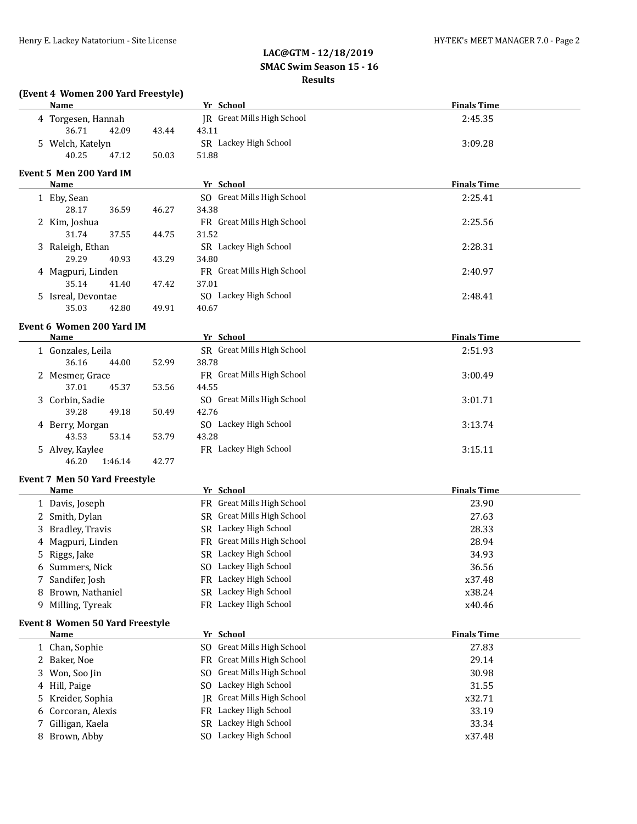|        | (Event 4 Women 200 Yard Freestyle)     |       |                                                   |                    |
|--------|----------------------------------------|-------|---------------------------------------------------|--------------------|
|        | <b>Name</b>                            |       | Yr School                                         | <b>Finals Time</b> |
|        | 4 Torgesen, Hannah                     |       | JR Great Mills High School                        | 2:45.35            |
|        | 36.71<br>42.09                         | 43.44 | 43.11                                             |                    |
|        | 5 Welch, Katelyn                       |       | SR Lackey High School                             | 3:09.28            |
|        | 40.25<br>47.12                         | 50.03 | 51.88                                             |                    |
|        | Event 5 Men 200 Yard IM                |       |                                                   |                    |
|        | <u>Name</u>                            |       | Yr School                                         | <b>Finals Time</b> |
|        | 1 Eby, Sean                            |       | SO Great Mills High School                        | 2:25.41            |
|        | 28.17<br>36.59                         | 46.27 | 34.38                                             |                    |
|        | 2 Kim, Joshua                          |       | FR Great Mills High School                        | 2:25.56            |
|        | 31.74<br>37.55                         | 44.75 | 31.52                                             |                    |
|        | 3 Raleigh, Ethan                       |       | SR Lackey High School                             | 2:28.31            |
|        | 29.29<br>40.93                         | 43.29 | 34.80                                             |                    |
|        | 4 Magpuri, Linden                      |       | FR Great Mills High School                        | 2:40.97            |
|        | 35.14<br>41.40                         | 47.42 | 37.01                                             |                    |
|        | 5 Isreal, Devontae                     |       | SO Lackey High School                             | 2:48.41            |
|        | 35.03<br>42.80                         | 49.91 | 40.67                                             |                    |
|        | Event 6 Women 200 Yard IM              |       |                                                   |                    |
|        | Name                                   |       | Yr School                                         | <b>Finals Time</b> |
|        | 1 Gonzales, Leila                      |       | SR Great Mills High School                        | 2:51.93            |
|        | 36.16<br>44.00                         | 52.99 | 38.78                                             |                    |
|        | 2 Mesmer, Grace                        |       | FR Great Mills High School                        | 3:00.49            |
|        | 37.01<br>45.37                         | 53.56 | 44.55                                             |                    |
|        | 3 Corbin, Sadie                        |       | SO Great Mills High School                        | 3:01.71            |
|        | 39.28<br>49.18                         | 50.49 | 42.76                                             |                    |
|        | 4 Berry, Morgan                        |       | SO Lackey High School                             | 3:13.74            |
|        | 43.53<br>53.14                         | 53.79 | 43.28                                             |                    |
|        | 5 Alvey, Kaylee<br>46.20               |       | FR Lackey High School                             | 3:15.11            |
|        | 1:46.14                                | 42.77 |                                                   |                    |
|        | Event 7 Men 50 Yard Freestyle          |       |                                                   |                    |
|        | <u>Name</u>                            |       | Yr School<br>FR Great Mills High School           | <b>Finals Time</b> |
|        | 1 Davis, Joseph                        |       | SR Great Mills High School                        | 23.90              |
|        | 2 Smith, Dylan                         |       | SR Lackey High School                             | 27.63<br>28.33     |
|        | 3 Bradley, Travis                      |       | FR Great Mills High School                        | 28.94              |
|        | 4 Magpuri, Linden                      |       | SR Lackey High School                             | 34.93              |
| 5.     | Riggs, Jake<br>6 Summers, Nick         |       | SO Lackey High School                             | 36.56              |
|        | Sandifer, Josh                         |       | FR Lackey High School                             | x37.48             |
| 7<br>8 | Brown, Nathaniel                       |       | SR Lackey High School                             | x38.24             |
| 9      | Milling, Tyreak                        |       | FR Lackey High School                             | x40.46             |
|        |                                        |       |                                                   |                    |
|        | <b>Event 8 Women 50 Yard Freestyle</b> |       |                                                   |                    |
|        | <u>Name</u>                            |       | Yr School                                         | <b>Finals Time</b> |
|        | 1 Chan, Sophie                         |       | SO Great Mills High School                        | 27.83              |
|        | 2 Baker, Noe                           |       | Great Mills High School<br>FR                     | 29.14              |
| 3      | Won, Soo Jin                           |       | SO Great Mills High School                        | 30.98              |
|        | 4 Hill, Paige                          |       | SO Lackey High School                             | 31.55              |
| 5.     | Kreider, Sophia                        |       | Great Mills High School<br>IR                     | x32.71             |
| 6      | Corcoran, Alexis                       |       | Lackey High School<br>FR<br>SR Lackey High School | 33.19              |
| 7      | Gilligan, Kaela                        |       | SO Lackey High School                             | 33.34              |
|        | 8 Brown, Abby                          |       |                                                   | x37.48             |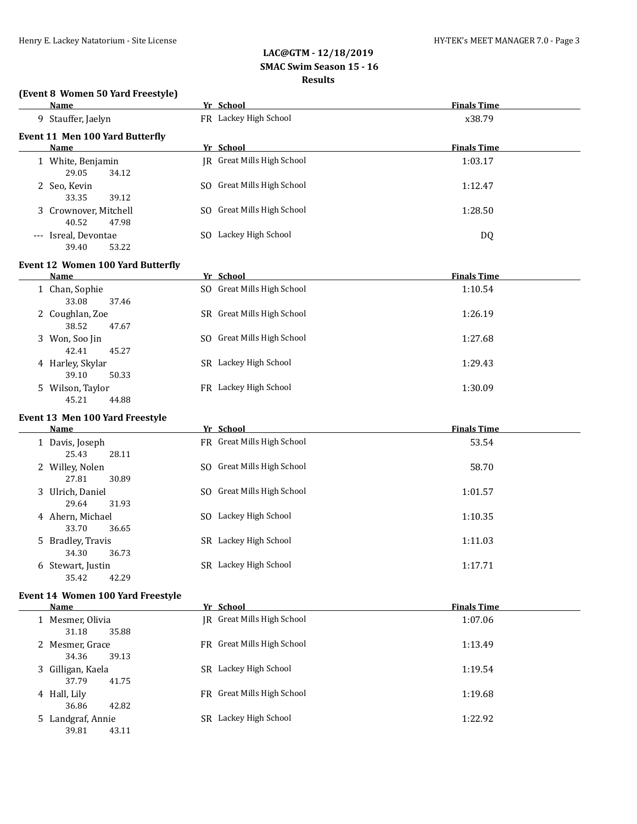# **(Event 8 Women 50 Yard Freestyle)**

| <b>Name</b>                             | Yr School                  | <b>Finals Time</b> |
|-----------------------------------------|----------------------------|--------------------|
| 9 Stauffer, Jaelyn                      | FR Lackey High School      | x38.79             |
| Event 11 Men 100 Yard Butterfly         |                            |                    |
| Name                                    | Yr School                  | <b>Finals Time</b> |
| 1 White, Benjamin<br>29.05<br>34.12     | IR Great Mills High School | 1:03.17            |
| 2 Seo, Kevin<br>33.35<br>39.12          | SO Great Mills High School | 1:12.47            |
| 3 Crownover, Mitchell<br>40.52<br>47.98 | SO Great Mills High School | 1:28.50            |
| --- Isreal, Devontae<br>39.40<br>53.22  | SO Lackey High School      | DQ                 |
| Event 12 Women 100 Yard Butterfly       |                            |                    |
| Name                                    | Yr School                  | <b>Finals Time</b> |
| 1 Chan, Sophie<br>33.08<br>37.46        | SO Great Mills High School | 1:10.54            |
| 2 Coughlan, Zoe<br>38.52<br>47.67       | SR Great Mills High School | 1:26.19            |
| 3 Won, Soo Jin<br>42.41<br>45.27        | SO Great Mills High School | 1:27.68            |
| 4 Harley, Skylar<br>39.10<br>50.33      | SR Lackey High School      | 1:29.43            |
| 5 Wilson, Taylor<br>45.21<br>44.88      | FR Lackey High School      | 1:30.09            |
| Event 13 Men 100 Yard Freestyle         |                            |                    |
| Name                                    | Yr School                  | <b>Finals Time</b> |
| 1 Davis, Joseph<br>25.43<br>28.11       | FR Great Mills High School | 53.54              |
| 2 Willey, Nolen<br>27.81<br>30.89       | SO Great Mills High School | 58.70              |
| 3 Ulrich, Daniel<br>29.64<br>31.93      | SO Great Mills High School | 1:01.57            |
| 4 Ahern, Michael<br>33.70<br>36.65      | SO Lackey High School      | 1:10.35            |
| 5 Bradley, Travis<br>34.30<br>36.73     | SR Lackey High School      | 1:11.03            |
| 6 Stewart, Justin<br>35.42<br>42.29     | SR Lackey High School      | 1:17.71            |
| Event 14 Women 100 Yard Freestyle       |                            |                    |
| <u>Name</u>                             | Yr School                  | <b>Finals Time</b> |

| $\cdots$                           | 11 JUNUU                   | .       |
|------------------------------------|----------------------------|---------|
| 1 Mesmer, Olivia<br>31.18<br>35.88 | IR Great Mills High School | 1:07.06 |
| 2 Mesmer, Grace<br>34.36<br>39.13  | FR Great Mills High School | 1:13.49 |
| 3 Gilligan, Kaela                  | SR Lackey High School      | 1:19.54 |
| 37.79<br>41.75<br>4 Hall, Lily     | FR Great Mills High School | 1:19.68 |
| 36.86<br>42.82<br>Landgraf, Annie  | Lackey High School<br>SR   | 1:22.92 |
| 39.81<br>43.11                     |                            |         |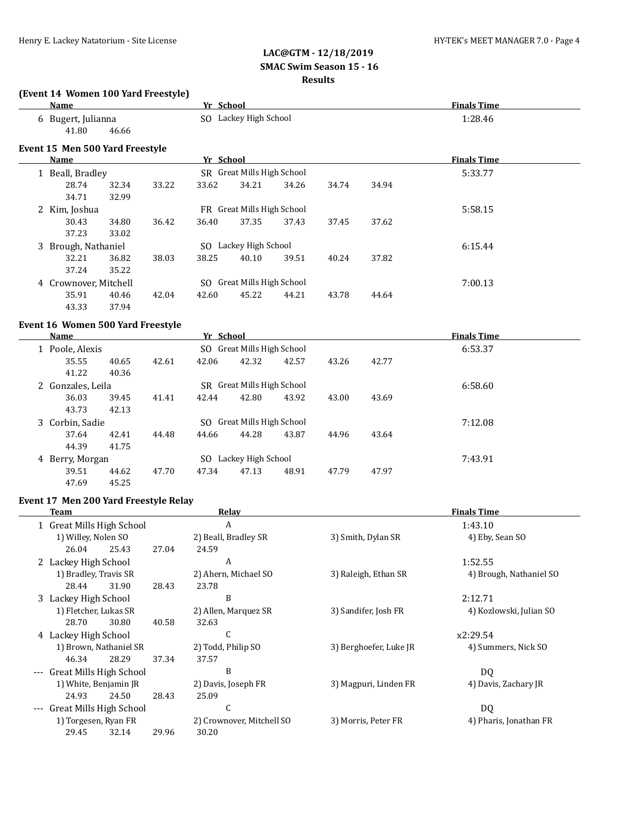29.45 32.14 29.96 30.20

### **LAC@GTM - 12/18/2019 SMAC Swim Season 15 - 16 Results**

|       | (Event 14 Women 100 Yard Freestyle)<br><b>Name</b> |       | Yr School          |                            |       |       |                        | <b>Finals Time</b>            |
|-------|----------------------------------------------------|-------|--------------------|----------------------------|-------|-------|------------------------|-------------------------------|
|       | 6 Bugert, Julianna                                 |       |                    | SO Lackey High School      |       |       |                        | 1:28.46                       |
|       | 41.80<br>46.66                                     |       |                    |                            |       |       |                        |                               |
|       | Event 15 Men 500 Yard Freestyle                    |       |                    |                            |       |       |                        |                               |
|       | <b>Name</b>                                        |       | Yr School          | SR Great Mills High School |       |       |                        | <b>Finals Time</b><br>5:33.77 |
|       | 1 Beall, Bradley<br>28.74<br>32.34                 | 33.22 | 33.62              | 34.21                      | 34.26 | 34.74 | 34.94                  |                               |
|       | 34.71<br>32.99                                     |       |                    |                            |       |       |                        |                               |
|       | 2 Kim, Joshua                                      |       |                    | FR Great Mills High School |       |       |                        | 5:58.15                       |
|       | 30.43<br>34.80                                     | 36.42 | 36.40              | 37.35                      | 37.43 | 37.45 | 37.62                  |                               |
|       | 37.23<br>33.02                                     |       |                    |                            |       |       |                        |                               |
|       | 3 Brough, Nathaniel                                |       |                    | SO Lackey High School      |       |       |                        | 6:15.44                       |
|       | 32.21<br>36.82                                     | 38.03 | 38.25              | 40.10                      | 39.51 | 40.24 | 37.82                  |                               |
|       | 37.24<br>35.22                                     |       |                    |                            |       |       |                        |                               |
|       | 4 Crownover, Mitchell                              |       |                    | SO Great Mills High School |       |       |                        | 7:00.13                       |
|       | 35.91<br>40.46                                     | 42.04 | 42.60              | 45.22                      | 44.21 | 43.78 | 44.64                  |                               |
|       | 43.33<br>37.94                                     |       |                    |                            |       |       |                        |                               |
|       | Event 16 Women 500 Yard Freestyle                  |       |                    |                            |       |       |                        |                               |
|       | <b>Name</b>                                        |       | Yr School          |                            |       |       |                        | <b>Finals Time</b>            |
|       | 1 Poole, Alexis                                    |       |                    | SO Great Mills High School |       |       |                        | 6:53.37                       |
|       | 35.55<br>40.65                                     | 42.61 | 42.06              | 42.32                      | 42.57 | 43.26 | 42.77                  |                               |
|       | 41.22<br>40.36                                     |       |                    |                            |       |       |                        |                               |
|       | 2 Gonzales, Leila                                  |       |                    | SR Great Mills High School |       |       |                        | 6:58.60                       |
|       | 36.03<br>39.45                                     | 41.41 | 42.44              | 42.80                      | 43.92 | 43.00 | 43.69                  |                               |
|       | 43.73<br>42.13                                     |       |                    |                            |       |       |                        |                               |
|       | 3 Corbin, Sadie                                    |       |                    | SO Great Mills High School |       |       |                        | 7:12.08                       |
|       | 37.64<br>42.41                                     | 44.48 | 44.66              | 44.28                      | 43.87 | 44.96 | 43.64                  |                               |
|       | 44.39<br>41.75                                     |       |                    |                            |       |       |                        |                               |
|       | 4 Berry, Morgan                                    |       |                    | SO Lackey High School      |       |       |                        | 7:43.91                       |
|       | 39.51<br>44.62                                     | 47.70 | 47.34              | 47.13                      | 48.91 | 47.79 | 47.97                  |                               |
|       | 47.69<br>45.25                                     |       |                    |                            |       |       |                        |                               |
|       | Event 17 Men 200 Yard Freestyle Relay              |       |                    |                            |       |       |                        |                               |
|       | Team                                               |       |                    | <b>Relay</b>               |       |       |                        | <b>Finals Time</b>            |
|       | 1 Great Mills High School                          |       |                    | $\boldsymbol{A}$           |       |       |                        | 1:43.10                       |
|       | 1) Willey, Nolen SO                                |       |                    | 2) Beall, Bradley SR       |       |       | 3) Smith, Dylan SR     | 4) Eby, Sean SO               |
|       | 26.04<br>25.43                                     | 27.04 | 24.59              |                            |       |       |                        |                               |
|       | 2 Lackey High School                               |       |                    | A                          |       |       |                        | 1:52.55                       |
|       | 1) Bradley, Travis SR                              |       |                    | 2) Ahern, Michael SO       |       |       | 3) Raleigh, Ethan SR   | 4) Brough, Nathaniel SO       |
|       | 28.44<br>31.90                                     | 28.43 | 23.78              |                            |       |       |                        |                               |
|       | 3 Lackey High School                               |       |                    | B                          |       |       |                        | 2:12.71                       |
|       | 1) Fletcher, Lukas SR                              |       |                    | 2) Allen, Marquez SR       |       |       | 3) Sandifer, Josh FR   | 4) Kozlowski, Julian SO       |
|       | 28.70<br>30.80                                     | 40.58 | 32.63              |                            |       |       |                        |                               |
|       | 4 Lackey High School                               |       |                    | C                          |       |       |                        | x2:29.54                      |
|       | 1) Brown, Nathaniel SR                             |       | 2) Todd, Philip SO |                            |       |       | 3) Berghoefer, Luke JR | 4) Summers, Nick SO           |
|       | 28.29<br>46.34                                     | 37.34 | 37.57              |                            |       |       |                        |                               |
| $---$ | Great Mills High School                            |       |                    | B                          |       |       |                        | <b>DQ</b>                     |
|       | 1) White, Benjamin JR                              |       |                    | 2) Davis, Joseph FR        |       |       | 3) Magpuri, Linden FR  | 4) Davis, Zachary JR          |
|       | 24.93<br>24.50                                     | 28.43 | 25.09              |                            |       |       |                        |                               |
|       | Great Mills High School                            |       |                    | C                          |       |       |                        | DQ                            |
|       | 1) Torgesen, Ryan FR                               |       |                    | 2) Crownover, Mitchell SO  |       |       | 3) Morris, Peter FR    | 4) Pharis, Jonathan FR        |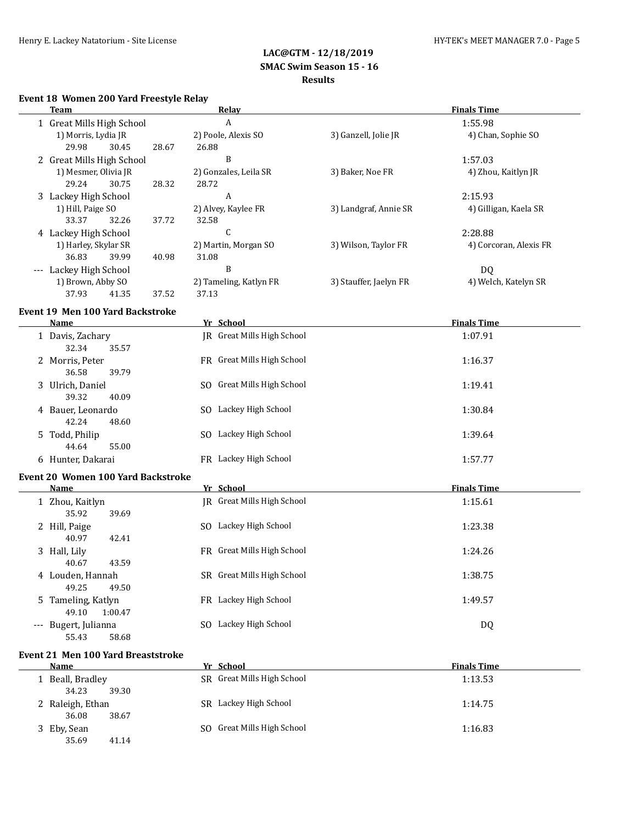#### **Event 18 Women 200 Yard Freestyle Relay**

|                     | Team                      |       | Relay                  | <b>Finals Time</b>     |                        |  |
|---------------------|---------------------------|-------|------------------------|------------------------|------------------------|--|
|                     | 1 Great Mills High School |       | A                      |                        | 1:55.98                |  |
|                     | 1) Morris, Lydia JR       |       | 2) Poole, Alexis SO    | 3) Ganzell, Jolie JR   | 4) Chan, Sophie SO     |  |
|                     | 30.45<br>29.98            | 28.67 | 26.88                  |                        |                        |  |
|                     | 2 Great Mills High School |       | B                      |                        | 1:57.03                |  |
|                     | 1) Mesmer, Olivia JR      |       | 2) Gonzales, Leila SR  | 3) Baker, Noe FR       | 4) Zhou, Kaitlyn JR    |  |
|                     | 29.24<br>30.75            | 28.32 | 28.72                  |                        |                        |  |
|                     | 3 Lackey High School      |       | A                      |                        | 2:15.93                |  |
|                     | 1) Hill, Paige SO         |       | 2) Alvey, Kaylee FR    | 3) Landgraf, Annie SR  | 4) Gilligan, Kaela SR  |  |
|                     | 33.37<br>32.26            | 37.72 | 32.58                  |                        |                        |  |
|                     | 4 Lackey High School      |       | U                      |                        | 2:28.88                |  |
|                     | 1) Harley, Skylar SR      |       | 2) Martin, Morgan SO   | 3) Wilson, Taylor FR   | 4) Corcoran, Alexis FR |  |
|                     | 36.83<br>39.99            | 40.98 | 31.08                  |                        |                        |  |
| $\qquad \qquad - -$ | Lackey High School        |       | B                      |                        | DQ                     |  |
|                     | 1) Brown, Abby SO         |       | 2) Tameling, Katlyn FR | 3) Stauffer, Jaelyn FR | 4) Welch, Katelyn SR   |  |
|                     | 37.93<br>41.35            | 37.52 | 37.13                  |                        |                        |  |

#### **Event 19 Men 100 Yard Backstroke**

| <b>Name</b>                               | Yr School                      | <b>Finals Time</b> |  |  |  |
|-------------------------------------------|--------------------------------|--------------------|--|--|--|
| 1 Davis, Zachary<br>35.57<br>32.34        | IR Great Mills High School     | 1:07.91            |  |  |  |
| 2 Morris, Peter<br>36.58<br>39.79         | FR Great Mills High School     | 1:16.37            |  |  |  |
| 3 Ulrich, Daniel<br>39.32<br>40.09        | Great Mills High School<br>SO. | 1:19.41            |  |  |  |
| 4 Bauer, Leonardo<br>42.24<br>48.60       | SO Lackey High School          | 1:30.84            |  |  |  |
| 5 Todd, Philip<br>44.64<br>55.00          | Lackey High School<br>SO.      | 1:39.64            |  |  |  |
| 6 Hunter, Dakarai                         | FR Lackey High School          | 1:57.77            |  |  |  |
| <b>Event 20 Women 100 Yard Backstroke</b> |                                |                    |  |  |  |

#### **Name** *Yr* **School <b>Finals Time** 1 Zhou, Kaitlyn JR Great Mills High School 1:15.61 35.92 39.69 2 Hill, Paige SO Lackey High School 3 2 Hill, Paige 1:23.38 40.97 42.41 3 Hall, Lily **FR** Great Mills High School 1:24.26 40.67 43.59 4 Louden, Hannah SR Great Mills High School 1:38.75 49.25 49.50 5 Tameling, Katlyn FR Lackey High School 1:49.57 49.10 1:00.47 --- Bugert, Julianna SO Lackey High School DQ

# 55.43 58.68 **Event 21 Men 100 Yard Breaststroke**

 $\overline{a}$ 

| Name             | Yr School                  | <b>Finals Time</b> |
|------------------|----------------------------|--------------------|
| Beall, Bradley   | SR Great Mills High School | 1:13.53            |
| 34.23<br>39.30   |                            |                    |
| 2 Raleigh, Ethan | SR Lackey High School      | 1:14.75            |
| 36.08<br>38.67   |                            |                    |
| 3 Eby, Sean      | SO Great Mills High School | 1:16.83            |
| 35.69<br>41.14   |                            |                    |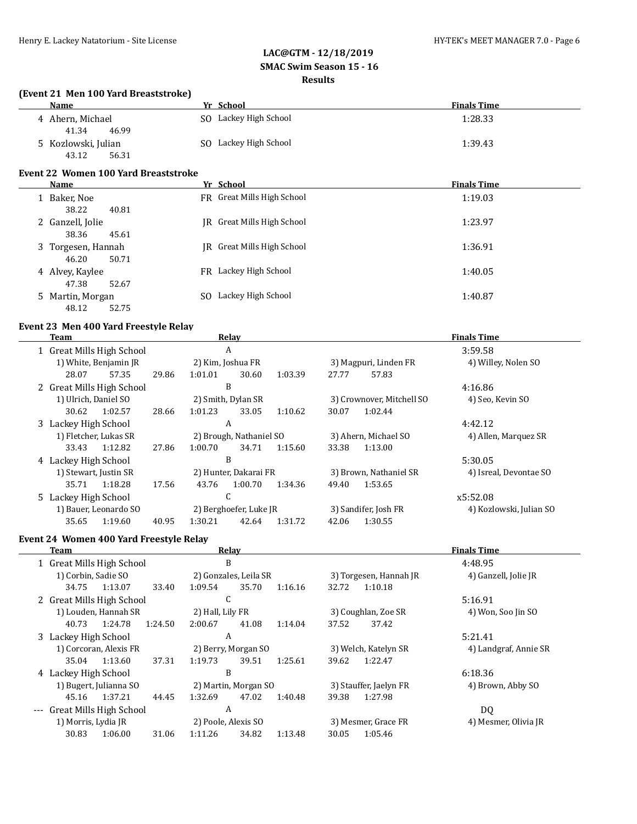#### **(Event 21 Men 100 Yard Breaststroke)**

| <b>Name</b>                  |                                      | Yr School                  | <b>Finals Time</b> |
|------------------------------|--------------------------------------|----------------------------|--------------------|
| 4 Ahern, Michael<br>41.34    | 46.99                                | SO Lackey High School      | 1:28.33            |
| 5 Kozlowski, Julian<br>43.12 | SO.<br>56.31                         | Lackey High School         | 1:39.43            |
|                              | Event 22 Women 100 Yard Breaststroke |                            |                    |
| Name                         |                                      | Yr School                  | <b>Finals Time</b> |
| Baker, Noe<br>38.22          | 40.81                                | FR Great Mills High School | 1:19.03            |
| 2 Ganzell, Jolie<br>38.36    | 45.61                                | IR Great Mills High School | 1:23.97            |

| 3 Torgesen, Hannah<br>46.20<br>50.71 | IR Great Mills High School | 1:36.91 |
|--------------------------------------|----------------------------|---------|
| 4 Alvey, Kaylee<br>47.38<br>52.67    | FR Lackey High School      | 1:40.05 |
| 5 Martin, Morgan<br>48.12<br>52.75   | Lackey High School<br>SO.  | 1:40.87 |

### **Event 23 Men 400 Yard Freestyle Relay**

| Team                 |                           |                    | Relay                  |                         |                           |                        | <b>Finals Time</b> |                         |                      |
|----------------------|---------------------------|--------------------|------------------------|-------------------------|---------------------------|------------------------|--------------------|-------------------------|----------------------|
|                      | 1 Great Mills High School |                    | A                      |                         |                           |                        |                    |                         | 3:59.58              |
|                      | 1) White, Benjamin JR     |                    |                        | 2) Kim, Joshua FR       |                           |                        |                    | 3) Magpuri, Linden FR   | 4) Willey, Nolen SO  |
|                      | 28.07                     | 57.35              | 29.86                  | 1:01.01                 | 30.60                     | 1:03.39                | 27.77              | 57.83                   |                      |
|                      | 2 Great Mills High School |                    |                        |                         | B                         |                        |                    |                         | 4:16.86              |
| 1) Ulrich, Daniel SO |                           | 2) Smith, Dylan SR |                        |                         | 3) Crownover, Mitchell SO |                        | 4) Seo, Kevin SO   |                         |                      |
|                      | 30.62                     | 1:02.57            | 28.66                  | 1:01.23                 | 33.05                     | 1:10.62                | 30.07              | 1:02.44                 |                      |
|                      | 3 Lackey High School      | A                  |                        |                         |                           |                        | 4:42.12            |                         |                      |
|                      | 1) Fletcher, Lukas SR     |                    |                        | 2) Brough, Nathaniel SO |                           |                        |                    | 3) Ahern, Michael SO    | 4) Allen, Marquez SR |
|                      | 33.43                     | 1:12.82            | 27.86                  | 1:00.70                 | 34.71                     | 1:15.60                | 33.38              | 1:13.00                 |                      |
|                      | 4 Lackey High School      |                    | B                      |                         |                           |                        |                    | 5:30.05                 |                      |
|                      | 1) Stewart, Justin SR     |                    | 2) Hunter, Dakarai FR  |                         |                           | 3) Brown, Nathaniel SR |                    | 4) Isreal, Devontae SO  |                      |
|                      | 35.71                     | 1:18.28            | 17.56                  | 43.76                   | 1:00.70                   | 1:34.36                | 49.40              | 1:53.65                 |                      |
|                      | 5 Lackey High School      |                    | C                      |                         |                           |                        |                    | x5:52.08                |                      |
|                      | 1) Bauer, Leonardo SO     |                    | 2) Berghoefer, Luke JR |                         |                           | 3) Sandifer, Josh FR   |                    | 4) Kozlowski, Julian SO |                      |
|                      | 35.65                     | 1:19.60            | 40.95                  | 1:30.21                 | 42.64                     | 1:31.72                | 42.06              | 1:30.55                 |                      |

### **Event 24 Women 400 Yard Freestyle Relay**

 $\equiv$ 

| Team  |                           |         |         | Relay                 |       |         | <b>Finals Time</b>     |         |                       |  |
|-------|---------------------------|---------|---------|-----------------------|-------|---------|------------------------|---------|-----------------------|--|
|       | 1 Great Mills High School |         |         | B                     |       |         | 4:48.95                |         |                       |  |
|       | 1) Corbin, Sadie SO       |         |         | 2) Gonzales, Leila SR |       |         | 3) Torgesen, Hannah JR |         | 4) Ganzell, Jolie JR  |  |
|       | 34.75                     | 1:13.07 | 33.40   | 1:09.54               | 35.70 | 1:16.16 | 32.72                  | 1:10.18 |                       |  |
|       | 2 Great Mills High School |         |         | C                     |       |         |                        |         | 5:16.91               |  |
|       | 1) Louden, Hannah SR      |         |         | 2) Hall, Lily FR      |       |         | 3) Coughlan, Zoe SR    |         | 4) Won, Soo Jin SO    |  |
|       | 40.73                     | 1:24.78 | 1:24.50 | 2:00.67               | 41.08 | 1:14.04 | 37.52                  | 37.42   |                       |  |
|       | 3 Lackey High School      |         |         | A                     |       |         |                        |         | 5:21.41               |  |
|       | 1) Corcoran, Alexis FR    |         |         | 2) Berry, Morgan SO   |       |         | 3) Welch, Katelyn SR   |         | 4) Landgraf, Annie SR |  |
|       | 35.04                     | 1:13.60 | 37.31   | 1:19.73               | 39.51 | 1:25.61 | 39.62                  | 1:22.47 |                       |  |
|       | 4 Lackey High School      |         |         | B                     |       |         |                        |         | 6:18.36               |  |
|       | 1) Bugert, Julianna SO    |         |         | 2) Martin, Morgan SO  |       |         | 3) Stauffer, Jaelyn FR |         | 4) Brown, Abby SO     |  |
|       | 45.16                     | 1:37.21 | 44.45   | 1:32.69               | 47.02 | 1:40.48 | 39.38                  | 1:27.98 |                       |  |
| $---$ | Great Mills High School   |         |         | A                     |       |         |                        |         | DQ                    |  |
|       | 1) Morris, Lydia JR       |         |         | 2) Poole, Alexis SO   |       |         | 3) Mesmer, Grace FR    |         | 4) Mesmer, Olivia JR  |  |
|       | 30.83                     | 1:06.00 | 31.06   | 1:11.26               | 34.82 | 1:13.48 | 30.05                  | 1:05.46 |                       |  |
|       |                           |         |         |                       |       |         |                        |         |                       |  |